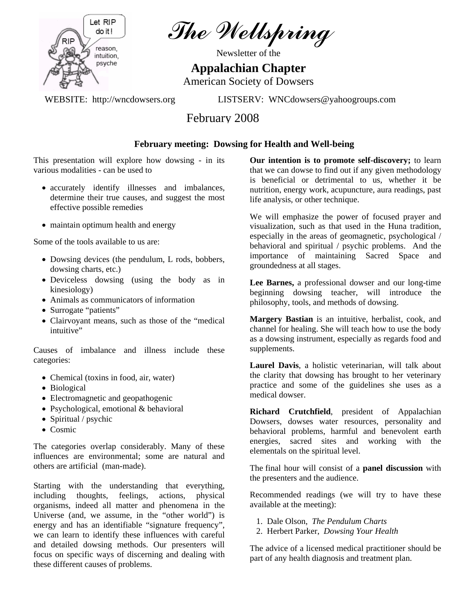

The Wellspring

Newsletter of the

## **Appalachian Chapter**

American Society of Dowsers

WEBSITE: http://wncdowsers.org LISTSERV: WNCdowsers@yahoogroups.com

# February 2008

## **February meeting: Dowsing for Health and Well-being**

This presentation will explore how dowsing - in its various modalities - can be used to

- accurately identify illnesses and imbalances, determine their true causes, and suggest the most effective possible remedies
- maintain optimum health and energy

Some of the tools available to us are:

- Dowsing devices (the pendulum, L rods, bobbers, dowsing charts, etc.)
- Deviceless dowsing (using the body as in kinesiology)
- Animals as communicators of information
- Surrogate "patients"
- Clairvoyant means, such as those of the "medical intuitive"

Causes of imbalance and illness include these categories:

- Chemical (toxins in food, air, water)
- Biological
- Electromagnetic and geopathogenic
- Psychological, emotional & behavioral
- Spiritual / psychic
- Cosmic

The categories overlap considerably. Many of these influences are environmental; some are natural and others are artificial (man-made).

Starting with the understanding that everything, including thoughts, feelings, actions, physical organisms, indeed all matter and phenomena in the Universe (and, we assume, in the "other world") is energy and has an identifiable "signature frequency", we can learn to identify these influences with careful and detailed dowsing methods. Our presenters will focus on specific ways of discerning and dealing with these different causes of problems.

**Our intention is to promote self-discovery;** to learn that we can dowse to find out if any given methodology is beneficial or detrimental to us, whether it be nutrition, energy work, acupuncture, aura readings, past life analysis, or other technique.

We will emphasize the power of focused prayer and visualization, such as that used in the Huna tradition, especially in the areas of geomagnetic, psychological / behavioral and spiritual / psychic problems. And the importance of maintaining Sacred Space and groundedness at all stages.

**Lee Barnes,** a professional dowser and our long-time beginning dowsing teacher, will introduce the philosophy, tools, and methods of dowsing.

**Margery Bastian** is an intuitive, herbalist, cook, and channel for healing. She will teach how to use the body as a dowsing instrument, especially as regards food and supplements.

**Laurel Davis**, a holistic veterinarian, will talk about the clarity that dowsing has brought to her veterinary practice and some of the guidelines she uses as a medical dowser.

**Richard Crutchfield**, president of Appalachian Dowsers, dowses water resources, personality and behavioral problems, harmful and benevolent earth energies, sacred sites and working with the elementals on the spiritual level.

The final hour will consist of a **panel discussion** with the presenters and the audience.

Recommended readings (we will try to have these available at the meeting):

- 1. Dale Olson, *The Pendulum Charts*
- 2. Herbert Parker, *Dowsing Your Health*

The advice of a licensed medical practitioner should be part of any health diagnosis and treatment plan.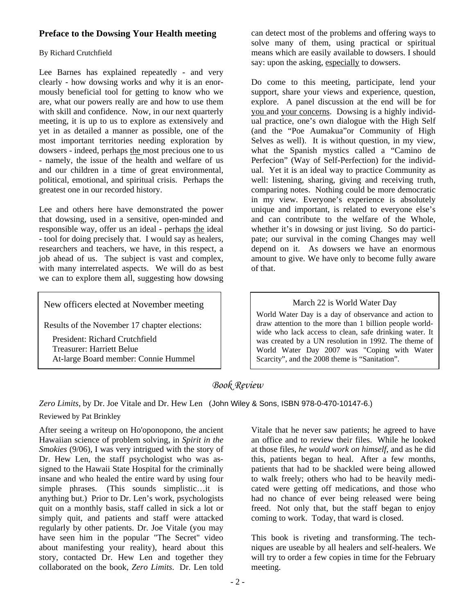## **Preface to the Dowsing Your Health meeting**

#### By Richard Crutchfield

Lee Barnes has explained repeatedly - and very clearly - how dowsing works and why it is an enormously beneficial tool for getting to know who we are, what our powers really are and how to use them with skill and confidence. Now, in our next quarterly meeting, it is up to us to explore as extensively and yet in as detailed a manner as possible, one of the most important territories needing exploration by dowsers - indeed, perhaps the most precious one to us - namely, the issue of the health and welfare of us and our children in a time of great environmental, political, emotional, and spiritual crisis. Perhaps the greatest one in our recorded history.

Lee and others here have demonstrated the power that dowsing, used in a sensitive, open-minded and responsible way, offer us an ideal - perhaps the ideal - tool for doing precisely that. I would say as healers, researchers and teachers, we have, in this respect, a job ahead of us. The subject is vast and complex, with many interrelated aspects. We will do as best we can to explore them all, suggesting how dowsing

New officers elected at November meeting

Results of the November 17 chapter elections:

 President: Richard Crutchfield Treasurer: Harriett Belue At-large Board member: Connie Hummel can detect most of the problems and offering ways to solve many of them, using practical or spiritual means which are easily available to dowsers. I should say: upon the asking, especially to dowsers.

Do come to this meeting, participate, lend your support, share your views and experience, question, explore. A panel discussion at the end will be for you and your concerns. Dowsing is a highly individual practice, one's own dialogue with the High Self (and the "Poe Aumakua"or Community of High Selves as well). It is without question, in my view, what the Spanish mystics called a "Camino de Perfecion" (Way of Self-Perfection) for the individual. Yet it is an ideal way to practice Community as well: listening, sharing, giving and receiving truth, comparing notes. Nothing could be more democratic in my view. Everyone's experience is absolutely unique and important, is related to everyone else's and can contribute to the welfare of the Whole, whether it's in dowsing or just living. So do participate; our survival in the coming Changes may well depend on it. As dowsers we have an enormous amount to give. We have only to become fully aware of that.

#### March 22 is World Water Day

World Water Day is a day of observance and action to draw attention to the more than 1 billion people worldwide who lack access to clean, safe drinking water. It was created by a UN resolution in 1992. The theme of World Water Day 2007 was "Coping with Water Scarcity", and the 2008 theme is "Sanitation".

## *Book Review*

*Zero Limits*, by Dr. Joe Vitale and Dr. Hew Len (John Wiley & Sons, ISBN 978-0-470-10147-6.)

#### Reviewed by Pat Brinkley

l

After seeing a writeup on Ho'oponopono, the ancient Hawaiian science of problem solving, in *Spirit in the Smokies* (9/06), I was very intrigued with the story of Dr. Hew Len, the staff psychologist who was assigned to the Hawaii State Hospital for the criminally insane and who healed the entire ward by using four simple phrases. (This sounds simplistic…it is anything but.) Prior to Dr. Len's work, psychologists quit on a monthly basis, staff called in sick a lot or simply quit, and patients and staff were attacked regularly by other patients. Dr. Joe Vitale (you may have seen him in the popular "The Secret" video about manifesting your reality), heard about this story, contacted Dr. Hew Len and together they collaborated on the book, *Zero Limits*. Dr. Len told

Vitale that he never saw patients; he agreed to have an office and to review their files. While he looked at those files, *he would work on himself*, and as he did this, patients began to heal. After a few months, patients that had to be shackled were being allowed to walk freely; others who had to be heavily medicated were getting off medications, and those who had no chance of ever being released were being freed. Not only that, but the staff began to enjoy coming to work. Today, that ward is closed.

This book is riveting and transforming. The techniques are useable by all healers and self-healers. We will try to order a few copies in time for the February meeting.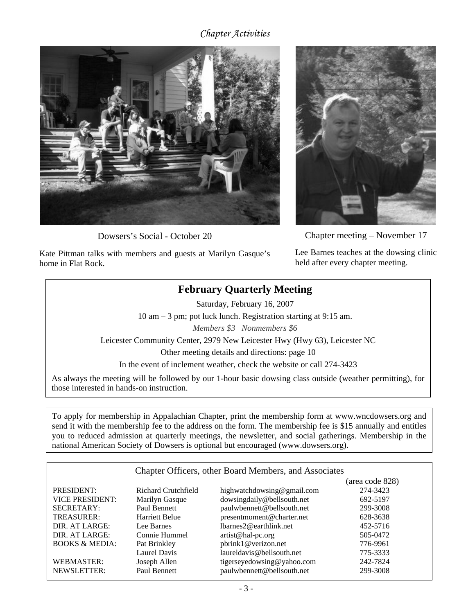## *Chapter Activities*



Dowsers's Social - October 20

Kate Pittman talks with members and guests at Marilyn Gasque's home in Flat Rock.



Chapter me eting – November 17

held after every chapter meeting. Lee Barnes teaches at the dowsing clinic

# **February Quarterly Meeting**

Saturday, February 16, 2007

10 am – 3 pm; pot luck lunch. Registration starting at 9:15 am.

*Members \$3 Nonmembers \$6*

Leicester Community Center, 2979 New Leicester Hwy (Hwy 63), Leicester NC

Other meeting details and directions: page 10

In the event of inclement weather, check the website or call 274-3423

As always the meeting will be followed by our 1-hour basic dowsing class outside (weather permitting), for those interested in hands-on instruction.

To apply for membership in Appalachian Chapter, print the membership form at www.wncdowsers.org and send it with the membership fee to the address on the form. The membership fee is \$15 annually and entitles you to reduced admission at quarterly meetings, the newsletter, and social gatherings. Membership in the national American Society of Dowsers is optional but encouraged (www.dowsers.org).

| Chapter Officers, other Board Members, and Associates |                     |                            |                 |  |  |
|-------------------------------------------------------|---------------------|----------------------------|-----------------|--|--|
|                                                       |                     |                            | (area code 828) |  |  |
| PRESIDENT:                                            | Richard Crutchfield | highwatchdowsing@gmail.com | 274-3423        |  |  |
| <b>VICE PRESIDENT:</b>                                | Marilyn Gasque      | dowsingdaily@bellsouth.net | 692-5197        |  |  |
| <b>SECRETARY:</b>                                     | Paul Bennett        | paulwbennett@bellsouth.net | 299-3008        |  |  |
| TREASURER:                                            | Harriett Belue      | presentmoment@charter.net  | 628-3638        |  |  |
| DIR. AT LARGE:                                        | Lee Barnes          | lbarnes2@earthlink.net     | 452-5716        |  |  |
| DIR. AT LARGE:                                        | Connie Hummel       | artist@hal-pc.org          | 505-0472        |  |  |
| <b>BOOKS &amp; MEDIA:</b>                             | Pat Brinkley        | pbrink1@verizon.net        | 776-9961        |  |  |
|                                                       | <b>Laurel Davis</b> | laureldavis@bellsouth.net  | 775-3333        |  |  |
| <b>WEBMASTER:</b>                                     | Joseph Allen        | tigerseyedowsing@yahoo.com | 242-7824        |  |  |
| <b>NEWSLETTER:</b>                                    | Paul Bennett        | paulwbennett@bellsouth.net | 299-3008        |  |  |
|                                                       |                     |                            |                 |  |  |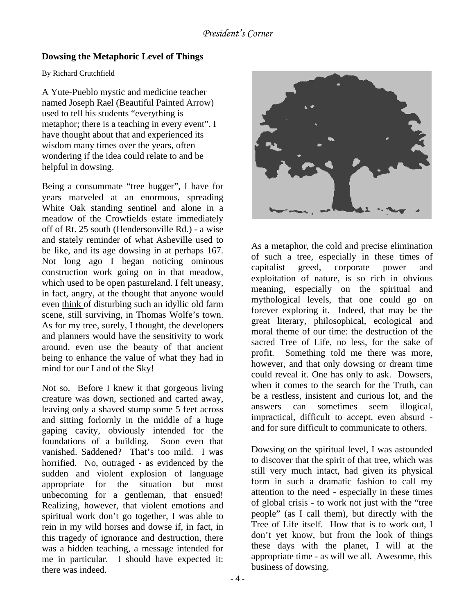## **Dowsing the Metaphoric Level of Things**

#### By Richard Crutchfield

A Yute-Pueblo mystic and medicine teacher named Joseph Rael (Beautiful Painted Arrow) used to tell his students "everything is metaphor; there is a teaching in every event". I have thought about that and experienced its wisdom many times over the years, often wondering if the idea could relate to and be helpful in dowsing.

Being a consummate "tree hugger", I have for years marveled at an enormous, spreading White Oak standing sentinel and alone in a meadow of the Crowfields estate immediately off of Rt. 25 south (Hendersonville Rd.) - a wise and stately reminder of what Asheville used to be like, and its age dowsing in at perhaps 167. Not long ago I began noticing ominous construction work going on in that meadow, which used to be open pastureland. I felt uneasy, in fact, angry, at the thought that anyone would even think of disturbing such an idyllic old farm scene, still surviving, in Thomas Wolfe's town. As for my tree, surely, I thought, the developers and planners would have the sensitivity to work around, even use the beauty of that ancient being to enhance the value of what they had in mind for our Land of the Sky!

Not so. Before I knew it that gorgeous living creature was down, sectioned and carted away, leaving only a shaved stump some 5 feet across and sitting forlornly in the middle of a huge gaping cavity, obviously intended for the foundations of a building. Soon even that vanished. Saddened? That's too mild. I was horrified. No, outraged - as evidenced by the sudden and violent explosion of language appropriate for the situation but most unbecoming for a gentleman, that ensued! Realizing, however, that violent emotions and spiritual work don't go together, I was able to rein in my wild horses and dowse if, in fact, in this tragedy of ignorance and destruction, there was a hidden teaching, a message intended for me in particular. I should have expected it: there was indeed.



As a metaphor, the cold and precise elimination of such a tree, especially in these times of capitalist greed, corporate power and exploitation of nature, is so rich in obvious meaning, especially on the spiritual and mythological levels, that one could go on forever exploring it. Indeed, that may be the great literary, philosophical, ecological and moral theme of our time: the destruction of the sacred Tree of Life, no less, for the sake of profit. Something told me there was more, however, and that only dowsing or dream time could reveal it. One has only to ask. Dowsers, when it comes to the search for the Truth, can be a restless, insistent and curious lot, and the answers can sometimes seem illogical, impractical, difficult to accept, even absurd and for sure difficult to communicate to others.

Dowsing on the spiritual level, I was astounded to discover that the spirit of that tree, which was still very much intact, had given its physical form in such a dramatic fashion to call my attention to the need - especially in these times of global crisis - to work not just with the "tree people" (as I call them), but directly with the Tree of Life itself. How that is to work out, I don't yet know, but from the look of things these days with the planet, I will at the appropriate time - as will we all. Awesome, this business of dowsing.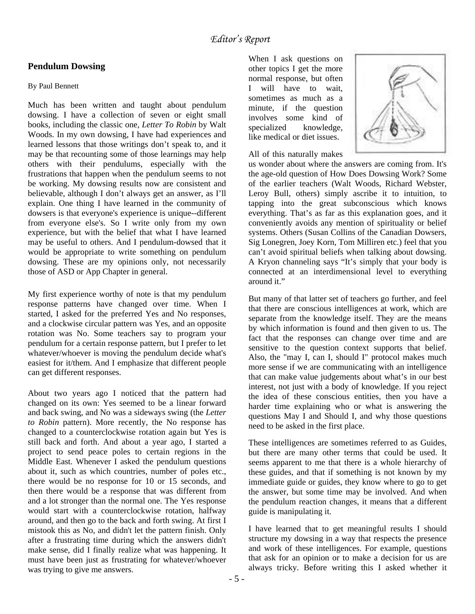## **Pendulum Dowsing**

#### By Paul Bennett

Much has been written and taught about pendulum dowsing. I have a collection of seven or eight small books, including the classic one, *Letter To Robin* by Walt Woods. In my own dowsing, I have had experiences and learned lessons that those writings don't speak to, and it may be that recounting some of those learnings may help others with their pendulums, especially with the frustrations that happen when the pendulum seems to not be working. My dowsing results now are consistent and believable, although I don't always get an answer, as I'll explain. One thing I have learned in the community of dowsers is that everyone's experience is unique--different from everyone else's. So I write only from my own experience, but with the belief that what I have learned may be useful to others. And I pendulum-dowsed that it would be appropriate to write something on pendulum dowsing. These are my opinions only, not necessarily those of ASD or App Chapter in general.

My first experience worthy of note is that my pendulum response patterns have changed over time. When I started, I asked for the preferred Yes and No responses, and a clockwise circular pattern was Yes, and an opposite rotation was No. Some teachers say to program your pendulum for a certain response pattern, but I prefer to let whatever/whoever is moving the pendulum decide what's easiest for it/them. And I emphasize that different people can get different responses.

About two years ago I noticed that the pattern had changed on its own: Yes seemed to be a linear forward and back swing, and No was a sideways swing (the *Letter to Robin* pattern). More recently, the No response has changed to a counterclockwise rotation again but Yes is still back and forth. And about a year ago, I started a project to send peace poles to certain regions in the Middle East. Whenever I asked the pendulum questions about it, such as which countries, number of poles etc., there would be no response for 10 or 15 seconds, and then there would be a response that was different from and a lot stronger than the normal one. The Yes response would start with a counterclockwise rotation, halfway around, and then go to the back and forth swing. At first I mistook this as No, and didn't let the pattern finish. Only after a frustrating time during which the answers didn't make sense, did I finally realize what was happening. It must have been just as frustrating for whatever/whoever was trying to give me answers.

When I ask questions on other topics I get the more normal response, but often I will have to wait, sometimes as much as a minute, if the question involves some kind of specialized knowledge, like medical or diet issues.



All of this naturally makes

us wonder about where the answers are coming from. It's the age-old question of How Does Dowsing Work? Some of the earlier teachers (Walt Woods, Richard Webster, Leroy Bull, others) simply ascribe it to intuition, to tapping into the great subconscious which knows everything. That's as far as this explanation goes, and it conveniently avoids any mention of spirituality or belief systems. Others (Susan Collins of the Canadian Dowsers, Sig Lonegren, Joey Korn, Tom Milliren etc.) feel that you can't avoid spiritual beliefs when talking about dowsing. A Kryon channeling says "It's simply that your body is connected at an interdimensional level to everything around it."

But many of that latter set of teachers go further, and feel that there are conscious intelligences at work, which are separate from the knowledge itself. They are the means by which information is found and then given to us. The fact that the responses can change over time and are sensitive to the question context supports that belief. Also, the "may I, can I, should I" protocol makes much more sense if we are communicating with an intelligence that can make value judgements about what's in our best interest, not just with a body of knowledge. If you reject the idea of these conscious entities, then you have a harder time explaining who or what is answering the questions May I and Should I, and why those questions need to be asked in the first place.

These intelligences are sometimes referred to as Guides, but there are many other terms that could be used. It seems apparent to me that there is a whole hierarchy of these guides, and that if something is not known by my immediate guide or guides, they know where to go to get the answer, but some time may be involved. And when the pendulum reaction changes, it means that a different guide is manipulating it.

I have learned that to get meaningful results I should structure my dowsing in a way that respects the presence and work of these intelligences. For example, questions that ask for an opinion or to make a decision for us are always tricky. Before writing this I asked whether it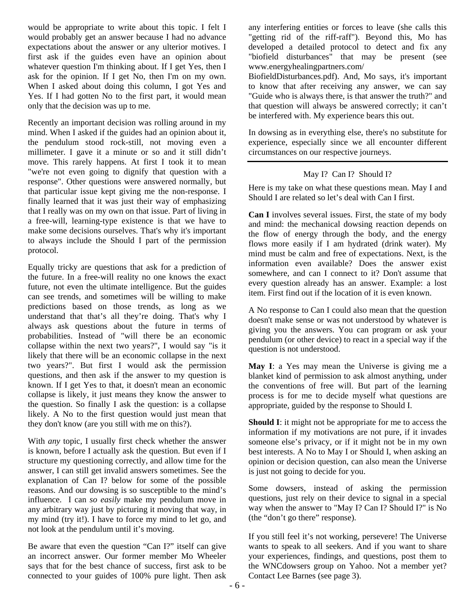would be appropriate to write about this topic. I felt I would probably get an answer because I had no advance expectations about the answer or any ulterior motives. I first ask if the guides even have an opinion about whatever question I'm thinking about. If I get Yes, then I ask for the opinion. If I get No, then I'm on my own. When I asked about doing this column, I got Yes and Yes. If I had gotten No to the first part, it would mean only that the decision was up to me.

Recently an important decision was rolling around in my mind. When I asked if the guides had an opinion about it, the pendulum stood rock-still, not moving even a millimeter. I gave it a minute or so and it still didn't move. This rarely happens. At first I took it to mean "we're not even going to dignify that question with a response". Other questions were answered normally, but that particular issue kept giving me the non-response. I finally learned that it was just their way of emphasizing that I really was on my own on that issue. Part of living in a free-will, learning-type existence is that we have to make some decisions ourselves. That's why it's important to always include the Should I part of the permission protocol.

Equally tricky are questions that ask for a prediction of the future. In a free-will reality no one knows the exact future, not even the ultimate intelligence. But the guides can see trends, and sometimes will be willing to make predictions based on those trends, as long as we understand that that's all they're doing. That's why I always ask questions about the future in terms of probabilities. Instead of "will there be an economic collapse within the next two years?", I would say "is it likely that there will be an economic collapse in the next two years?". But first I would ask the permission questions, and then ask if the answer to my question is known. If I get Yes to that, it doesn't mean an economic collapse is likely, it just means they know the answer to the question. So finally I ask the question: is a collapse likely. A No to the first question would just mean that they don't know (are you still with me on this?).

With *any* topic, I usually first check whether the answer is known, before I actually ask the question. But even if I structure my questioning correctly, and allow time for the answer, I can still get invalid answers sometimes. See the explanation of Can I? below for some of the possible reasons. And our dowsing is so susceptible to the mind's influence. I can *so easily* make my pendulum move in any arbitrary way just by picturing it moving that way, in my mind (try it!). I have to force my mind to let go, and not look at the pendulum until it's moving.

Be aware that even the question "Can I?" itself can give an incorrect answer. Our former member Mo Wheeler says that for the best chance of success, first ask to be connected to your guides of 100% pure light. Then ask

any interfering entities or forces to leave (she calls this "getting rid of the riff-raff"). Beyond this, Mo has developed a detailed protocol to detect and fix any "biofield disturbances" that may be present (see www.energyhealingpartners.com/

BiofieldDisturbances.pdf). And, Mo says, it's important to know that after receiving any answer, we can say "Guide who is always there, is that answer the truth?" and that question will always be answered correctly; it can't be interfered with. My experience bears this out.

In dowsing as in everything else, there's no substitute for experience, especially since we all encounter different circumstances on our respective journeys.

#### May I? Can I? Should I?

Here is my take on what these questions mean. May I and Should I are related so let's deal with Can I first.

**Can I** involves several issues. First, the state of my body and mind: the mechanical dowsing reaction depends on the flow of energy through the body, and the energy flows more easily if I am hydrated (drink water). My mind must be calm and free of expectations. Next, is the information even available? Does the answer exist somewhere, and can I connect to it? Don't assume that every question already has an answer. Example: a lost item. First find out if the location of it is even known.

A No response to Can I could also mean that the question doesn't make sense or was not understood by whatever is giving you the answers. You can program or ask your pendulum (or other device) to react in a special way if the question is not understood.

**May I**: a Yes may mean the Universe is giving me a blanket kind of permission to ask almost anything, under the conventions of free will. But part of the learning process is for me to decide myself what questions are appropriate, guided by the response to Should I.

**Should I**: it might not be appropriate for me to access the information if my motivations are not pure, if it invades someone else's privacy, or if it might not be in my own best interests. A No to May I or Should I, when asking an opinion or decision question, can also mean the Universe is just not going to decide for you.

Some dowsers, instead of asking the permission questions, just rely on their device to signal in a special way when the answer to "May I? Can I? Should I?" is No (the "don't go there" response).

If you still feel it's not working, persevere! The Universe wants to speak to all seekers. And if you want to share your experiences, findings, and questions, post them to the WNCdowsers group on Yahoo. Not a member yet? Contact Lee Barnes (see page 3).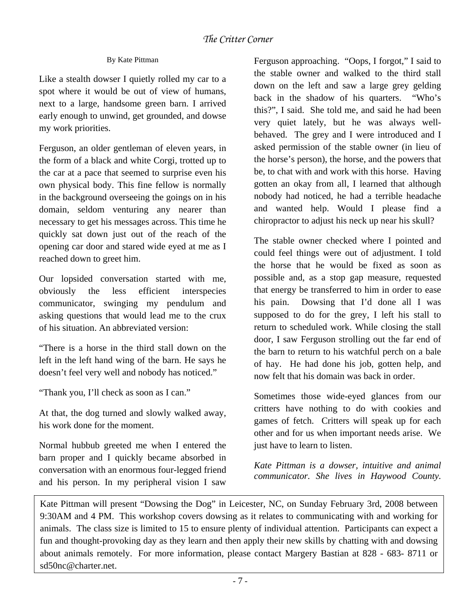## By Kate Pittman

Like a stealth dowser I quietly rolled my car to a spot where it would be out of view of humans, next to a large, handsome green barn. I arrived early enough to unwind, get grounded, and dowse my work priorities.

Ferguson, an older gentleman of eleven years, in the form of a black and white Corgi, trotted up to the car at a pace that seemed to surprise even his own physical body. This fine fellow is normally in the background overseeing the goings on in his domain, seldom venturing any nearer than necessary to get his messages across. This time he quickly sat down just out of the reach of the opening car door and stared wide eyed at me as I reached down to greet him.

Our lopsided conversation started with me, obviously the less efficient interspecies communicator, swinging my pendulum and asking questions that would lead me to the crux of his situation. An abbreviated version:

"There is a horse in the third stall down on the left in the left hand wing of the barn. He says he doesn't feel very well and nobody has noticed."

"Thank you, I'll check as soon as I can."

 $\overline{\phantom{a}}$ 

At that, the dog turned and slowly walked away, his work done for the moment.

Normal hubbub greeted me when I entered the barn proper and I quickly became absorbed in conversation with an enormous four-legged friend and his person. In my peripheral vision I saw

Ferguson approaching. "Oops, I forgot," I said to the stable owner and walked to the third stall down on the left and saw a large grey gelding back in the shadow of his quarters. "Who's this?", I said. She told me, and said he had been very quiet lately, but he was always wellbehaved. The grey and I were introduced and I asked permission of the stable owner (in lieu of the horse's person), the horse, and the powers that be, to chat with and work with this horse. Having gotten an okay from all, I learned that although nobody had noticed, he had a terrible headache and wanted help. Would I please find a chiropractor to adjust his neck up near his skull?

The stable owner checked where I pointed and could feel things were out of adjustment. I told the horse that he would be fixed as soon as possible and, as a stop gap measure, requested that energy be transferred to him in order to ease his pain. Dowsing that I'd done all I was supposed to do for the grey, I left his stall to return to scheduled work. While closing the stall door, I saw Ferguson strolling out the far end of the barn to return to his watchful perch on a bale of hay. He had done his job, gotten help, and now felt that his domain was back in order.

Sometimes those wide-eyed glances from our critters have nothing to do with cookies and games of fetch. Critters will speak up for each other and for us when important needs arise. We just have to learn to listen.

*Kate Pittman is a dowser, intuitive and animal communicator. She lives in Haywood County.*

Kate Pittman will present "Dowsing the Dog" in Leicester, NC, on Sunday February 3rd, 2008 between 9:30AM and 4 PM. This workshop covers dowsing as it relates to communicating with and working for animals. The class size is limited to 15 to ensure plenty of individual attention. Participants can expect a fun and thought-provoking day as they learn and then apply their new skills by chatting with and dowsing about animals remotely. For more information, please contact Margery Bastian at 828 - 683- 8711 or sd50nc@charter.net.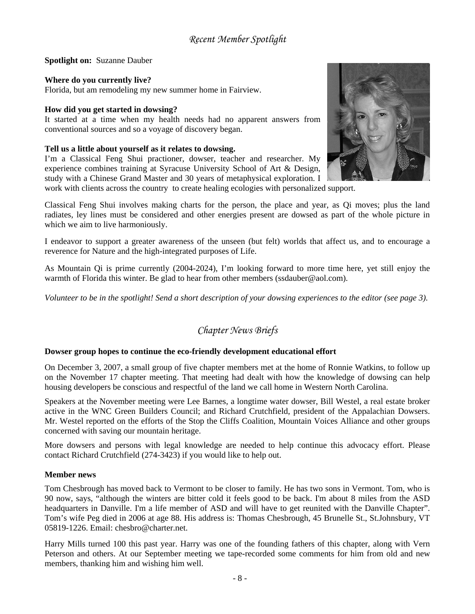*Recent Member Spotlight* 

**Spotlight on:** Suzanne Dauber

### **Where do you currently live?**

Florida, but am remodeling my new summer home in Fairview.

#### **How did you get started in dowsing?**

It started at a time when my health needs had no apparent answers from conventional sources and so a voyage of discovery began.

## **Tell us a little about yourself as it relates to dowsing.**

I'm a Classical Feng Shui practioner, dowser, teacher and researcher. My experience combines training at Syracuse University School of Art & Design, study with a Chinese Grand Master and 30 years of metaphysical exploration. I



work with clients across the country to create healing ecologies with personalized support.

Classical Feng Shui involves making charts for the person, the place and year, as Qi moves; plus the land radiates, ley lines must be considered and other energies present are dowsed as part of the whole picture in which we aim to live harmoniously.

I endeavor to support a greater awareness of the unseen (but felt) worlds that affect us, and to encourage a reverence for Nature and the high-integrated purposes of Life.

As Mountain Qi is prime currently (2004-2024), I'm looking forward to more time here, yet still enjoy the warmth of Florida this winter. Be glad to hear from other members (ssdauber@aol.com).

*Volunteer to be in the spotlight! Send a short description of your dowsing experiences to the editor (see page 3).* 

## *Chapter News Briefs*

#### **Dowser group hopes to continue the eco-friendly development educational effort**

On December 3, 2007, a small group of five chapter members met at the home of Ronnie Watkins, to follow up on the November 17 chapter meeting. That meeting had dealt with how the knowledge of dowsing can help housing developers be conscious and respectful of the land we call home in Western North Carolina.

Speakers at the November meeting were Lee Barnes, a longtime water dowser, Bill Westel, a real estate broker active in the WNC Green Builders Council; and Richard Crutchfield, president of the Appalachian Dowsers. Mr. Westel reported on the efforts of the Stop the Cliffs Coalition, Mountain Voices Alliance and other groups concerned with saving our mountain heritage.

More dowsers and persons with legal knowledge are needed to help continue this advocacy effort. Please contact Richard Crutchfield (274-3423) if you would like to help out.

#### **Member news**

Tom Chesbrough has moved back to Vermont to be closer to family. He has two sons in Vermont. Tom, who is 90 now, says, "although the winters are bitter cold it feels good to be back. I'm about 8 miles from the ASD headquarters in Danville. I'm a life member of ASD and will have to get reunited with the Danville Chapter". Tom's wife Peg died in 2006 at age 88. His address is: Thomas Chesbrough, 45 Brunelle St., St.Johnsbury, VT 05819-1226. Email: chesbro@charter.net.

Harry Mills turned 100 this past year. Harry was one of the founding fathers of this chapter, along with Vern Peterson and others. At our September meeting we tape-recorded some comments for him from old and new members, thanking him and wishing him well.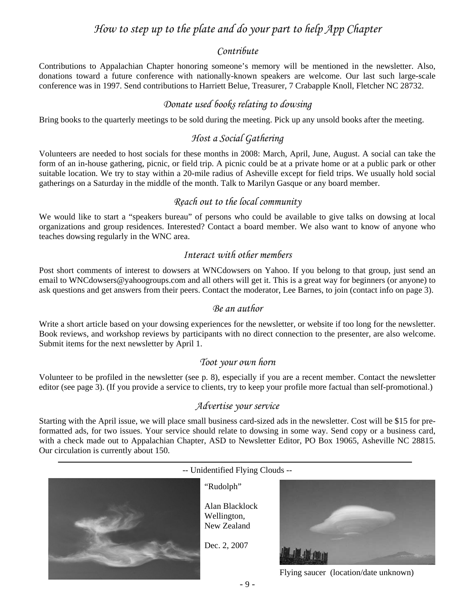# *How to step up to the plate and do your part to help App Chapter*

#### *Contribute*

Contributions to Appalachian Chapter honoring someone's memory will be mentioned in the newsletter. Also, donations toward a future conference with nationally-known speakers are welcome. Our last such large-scale conference was in 1997. Send contributions to Harriett Belue, Treasurer, 7 Crabapple Knoll, Fletcher NC 28732.

## *Donate used books relating to dowsing*

Bring books to the quarterly meetings to be sold during the meeting. Pick up any unsold books after the meeting.

## *Host a Social Gathering*

Volunteers are needed to host socials for these months in 2008: March, April, June, August. A social can take the form of an in-house gathering, picnic, or field trip. A picnic could be at a private home or at a public park or other suitable location. We try to stay within a 20-mile radius of Asheville except for field trips. We usually hold social gatherings on a Saturday in the middle of the month. Talk to Marilyn Gasque or any board member.

## *Reach out to the local community*

We would like to start a "speakers bureau" of persons who could be available to give talks on dowsing at local organizations and group residences. Interested? Contact a board member. We also want to know of anyone who teaches dowsing regularly in the WNC area.

## *Interact with other members*

Post short comments of interest to dowsers at WNCdowsers on Yahoo. If you belong to that group, just send an email to WNCdowsers@yahoogroups.com and all others will get it. This is a great way for beginners (or anyone) to ask questions and get answers from their peers. Contact the moderator, Lee Barnes, to join (contact info on page 3).

#### *Be an author*

Write a short article based on your dowsing experiences for the newsletter, or website if too long for the newsletter. Book reviews, and workshop reviews by participants with no direct connection to the presenter, are also welcome. Submit items for the next newsletter by April 1.

#### *Toot your own horn*

Volunteer to be profiled in the newsletter (see p. 8), especially if you are a recent member. Contact the newsletter editor (see page 3). (If you provide a service to clients, try to keep your profile more factual than self-promotional.)

#### *Advertise your service*

Starting with the April issue, we will place small business card-sized ads in the newsletter. Cost will be \$15 for preformatted ads, for two issues. Your service should relate to dowsing in some way. Send copy or a business card, with a check made out to Appalachian Chapter, ASD to Newsletter Editor, PO Box 19065, Asheville NC 28815. Our circulation is currently about 150.

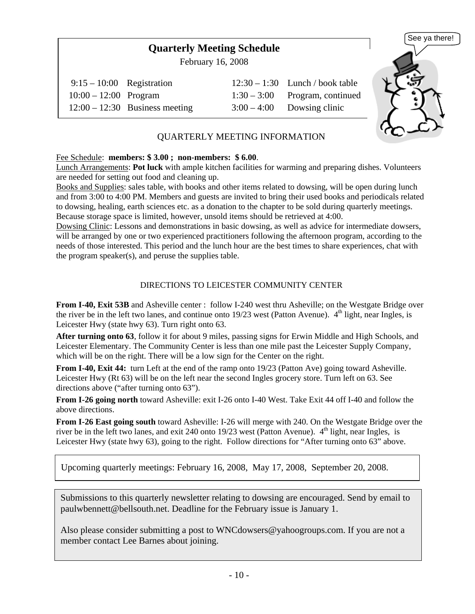# **Quarterly Meeting Schedule**

February 16, 2008

| $9:15-10:00$ Registration |                                  | $12:30 - 1:30$ Lunch / book table |
|---------------------------|----------------------------------|-----------------------------------|
| $10:00 - 12:00$ Program   |                                  | $1:30-3:00$ Program, continued    |
|                           | $12:00 - 12:30$ Business meeting | $3:00-4:00$ Dowsing clinic        |



## QUARTERLY MEETING INFORMATION

#### Fee Schedule: **members: \$ 3.00 ; non-members: \$ 6.00**.

Lunch Arrangements: **Pot luck** with ample kitchen facilities for warming and preparing dishes. Volunteers are needed for setting out food and cleaning up.

Books and Supplies: sales table, with books and other items related to dowsing, will be open during lunch and from 3:00 to 4:00 PM. Members and guests are invited to bring their used books and periodicals related to dowsing, healing, earth sciences etc. as a donation to the chapter to be sold during quarterly meetings. Because storage space is limited, however, unsold items should be retrieved at 4:00.

Dowsing Clinic: Lessons and demonstrations in basic dowsing, as well as advice for intermediate dowsers, will be arranged by one or two experienced practitioners following the afternoon program, according to the needs of those interested. This period and the lunch hour are the best times to share experiences, chat with the program speaker(s), and peruse the supplies table.

#### DIRECTIONS TO LEICESTER COMMUNITY CENTER

**From I-40, Exit 53B** and Asheville center : follow I-240 west thru Asheville; on the Westgate Bridge over the river be in the left two lanes, and continue onto  $19/23$  west (Patton Avenue).  $4<sup>th</sup>$  light, near Ingles, is Leicester Hwy (state hwy 63). Turn right onto 63.

**After turning onto 63**, follow it for about 9 miles, passing signs for Erwin Middle and High Schools, and Leicester Elementary. The Community Center is less than one mile past the Leicester Supply Company, which will be on the right. There will be a low sign for the Center on the right.

**From I-40, Exit 44:** turn Left at the end of the ramp onto 19/23 (Patton Ave) going toward Asheville. Leicester Hwy (Rt 63) will be on the left near the second Ingles grocery store. Turn left on 63. See directions above ("after turning onto 63").

**From I-26 going north** toward Asheville: exit I-26 onto I-40 West. Take Exit 44 off I-40 and follow the above directions.

**From I-26 East going south** toward Asheville: I-26 will merge with 240. On the Westgate Bridge over the river be in the left two lanes, and exit 240 onto 19/23 west (Patton Avenue).  $4<sup>th</sup>$  light, near Ingles, is Leicester Hwy (state hwy 63), going to the right. Follow directions for "After turning onto 63" above.

Upcoming quarterly meetings: February 16, 2008, May 17, 2008, September 20, 2008.

Submissions to this quarterly newsletter relating to dowsing are encouraged. Send by email to paulwbennett@bellsouth.net. Deadline for the February issue is January 1.

Also please consider submitting a post to WNCdowsers@yahoogroups.com. If you are not a member contact Lee Barnes about joining.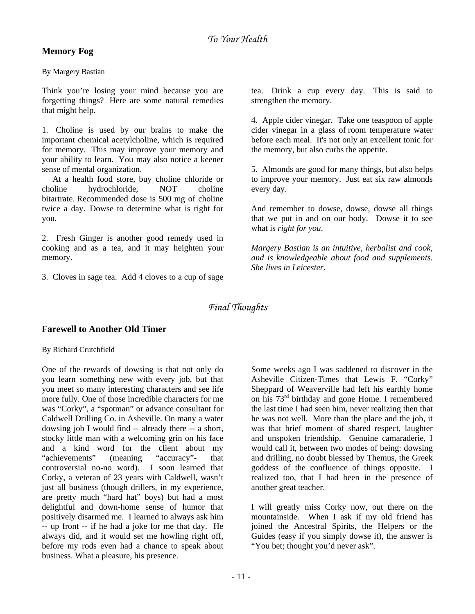## **Memory Fog**

By Margery Bastian

Think you're losing your mind because you are forgetting things? Here are some natural remedies that might help.

1. Choline is used by our brains to make the important chemical acetylcholine, which is required for memory. This may improve your memory and your ability to learn. You may also notice a keener sense of mental organization.

 At a health food store, buy choline chloride or choline hydrochloride, NOT choline bitartrate. Recommended dose is 500 mg of choline twice a day. Dowse to determine what is right for you.

2. Fresh Ginger is another good remedy used in cooking and as a tea, and it may heighten your memory.

3. Cloves in sage tea. Add 4 cloves to a cup of sage

tea. Drink a cup every day. This is said to strengthen the memory.

4. Apple cider vinegar. Take one teaspoon of apple cider vinegar in a glass of room temperature water before each meal. It's not only an excellent tonic for the memory, but also curbs the appetite.

5. Almonds are good for many things, but also helps to improve your memory. Just eat six raw almonds every day.

And remember to dowse, dowse, dowse all things that we put in and on our body. Dowse it to see what is *right for you*.

*Margery Bastian is an intuitive, herbalist and cook, and is knowledgeable about food and supplements. She lives in Leicester.* 

## *Final Thoughts*

## **Farewell to Another Old Timer**

By Richard Crutchfield

One of the rewards of dowsing is that not only do you learn something new with every job, but that you meet so many interesting characters and see life more fully. One of those incredible characters for me was "Corky", a "spotman" or advance consultant for Caldwell Drilling Co. in Asheville. On many a water dowsing job I would find -- already there -- a short, stocky little man with a welcoming grin on his face and a kind word for the client about my "achievements" (meaning "accuracy"- that controversial no-no word). I soon learned that Corky, a veteran of 23 years with Caldwell, wasn't just all business (though drillers, in my experience, are pretty much "hard hat" boys) but had a most delightful and down-home sense of humor that positively disarmed me. I learned to always ask him -- up front -- if he had a joke for me that day. He always did, and it would set me howling right off, before my rods even had a chance to speak about business. What a pleasure, his presence.

Some weeks ago I was saddened to discover in the Asheville Citizen-Times that Lewis F. "Corky" Sheppard of Weaverville had left his earthly home on his 73rd birthday and gone Home. I remembered the last time I had seen him, never realizing then that he was not well. More than the place and the job, it was that brief moment of shared respect, laughter and unspoken friendship. Genuine camaraderie, I would call it, between two modes of being: dowsing and drilling, no doubt blessed by Themus, the Greek goddess of the confluence of things opposite. I realized too, that I had been in the presence of another great teacher.

I will greatly miss Corky now, out there on the mountainside. When I ask if my old friend has joined the Ancestral Spirits, the Helpers or the Guides (easy if you simply dowse it), the answer is "You bet; thought you'd never ask".